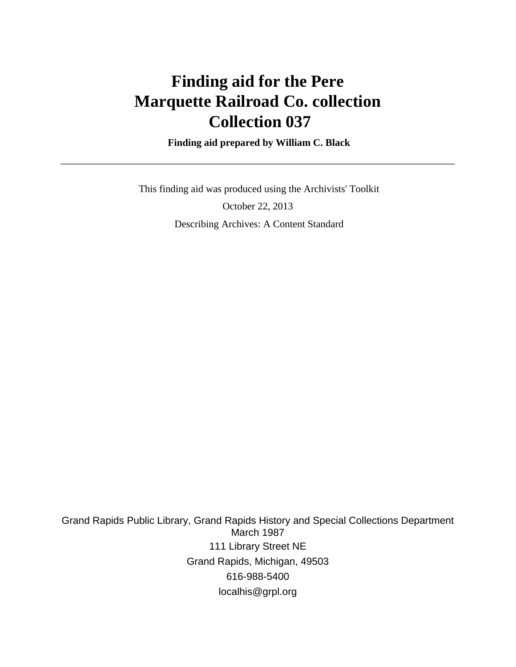# **Finding aid for the Pere Marquette Railroad Co. collection Collection 037**

 **Finding aid prepared by William C. Black**

 This finding aid was produced using the Archivists' Toolkit October 22, 2013 Describing Archives: A Content Standard

Grand Rapids Public Library, Grand Rapids History and Special Collections Department March 1987 111 Library Street NE Grand Rapids, Michigan, 49503 616-988-5400 localhis@grpl.org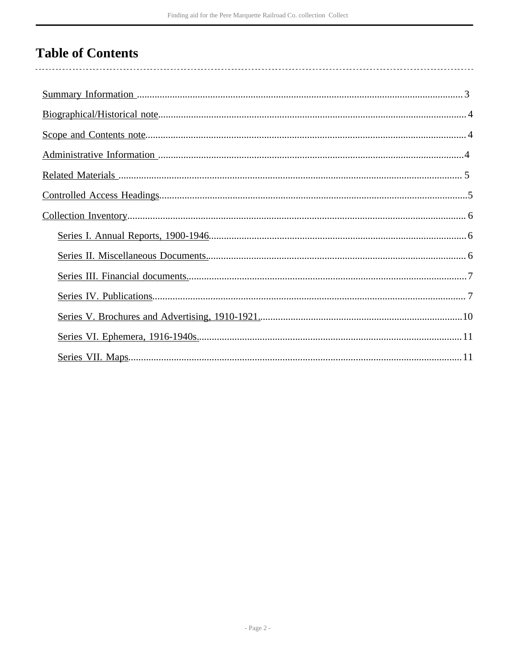# **Table of Contents**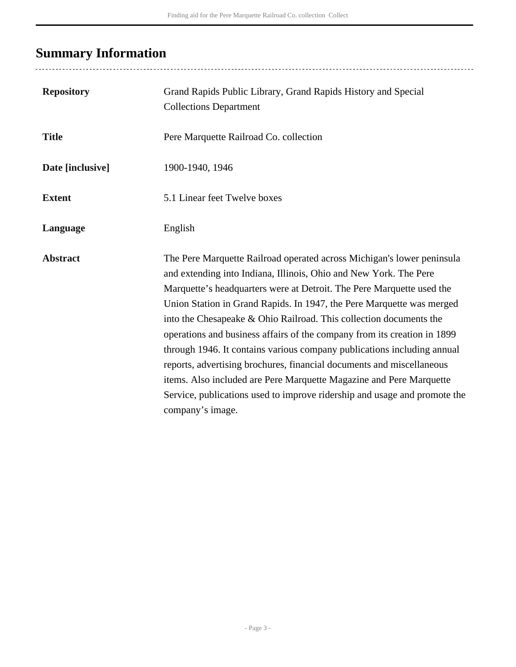# <span id="page-2-0"></span>**Summary Information**

| <b>Repository</b> | Grand Rapids Public Library, Grand Rapids History and Special<br><b>Collections Department</b>                                                                                                                                                                                                                                                                                                                                                                                                                                                                                                                                                                                                                                                                              |
|-------------------|-----------------------------------------------------------------------------------------------------------------------------------------------------------------------------------------------------------------------------------------------------------------------------------------------------------------------------------------------------------------------------------------------------------------------------------------------------------------------------------------------------------------------------------------------------------------------------------------------------------------------------------------------------------------------------------------------------------------------------------------------------------------------------|
| <b>Title</b>      | Pere Marquette Railroad Co. collection                                                                                                                                                                                                                                                                                                                                                                                                                                                                                                                                                                                                                                                                                                                                      |
| Date [inclusive]  | 1900-1940, 1946                                                                                                                                                                                                                                                                                                                                                                                                                                                                                                                                                                                                                                                                                                                                                             |
| <b>Extent</b>     | 5.1 Linear feet Twelve boxes                                                                                                                                                                                                                                                                                                                                                                                                                                                                                                                                                                                                                                                                                                                                                |
| Language          | English                                                                                                                                                                                                                                                                                                                                                                                                                                                                                                                                                                                                                                                                                                                                                                     |
| <b>Abstract</b>   | The Pere Marquette Railroad operated across Michigan's lower peninsula<br>and extending into Indiana, Illinois, Ohio and New York. The Pere<br>Marquette's headquarters were at Detroit. The Pere Marquette used the<br>Union Station in Grand Rapids. In 1947, the Pere Marquette was merged<br>into the Chesapeake & Ohio Railroad. This collection documents the<br>operations and business affairs of the company from its creation in 1899<br>through 1946. It contains various company publications including annual<br>reports, advertising brochures, financial documents and miscellaneous<br>items. Also included are Pere Marquette Magazine and Pere Marquette<br>Service, publications used to improve ridership and usage and promote the<br>company's image. |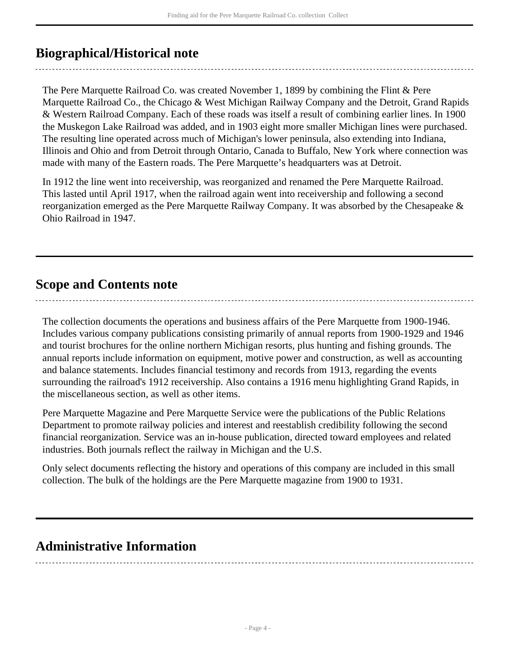# <span id="page-3-0"></span>**Biographical/Historical note**

The Pere Marquette Railroad Co. was created November 1, 1899 by combining the Flint & Pere Marquette Railroad Co., the Chicago & West Michigan Railway Company and the Detroit, Grand Rapids & Western Railroad Company. Each of these roads was itself a result of combining earlier lines. In 1900 the Muskegon Lake Railroad was added, and in 1903 eight more smaller Michigan lines were purchased. The resulting line operated across much of Michigan's lower peninsula, also extending into Indiana, Illinois and Ohio and from Detroit through Ontario, Canada to Buffalo, New York where connection was made with many of the Eastern roads. The Pere Marquette's headquarters was at Detroit.

In 1912 the line went into receivership, was reorganized and renamed the Pere Marquette Railroad. This lasted until April 1917, when the railroad again went into receivership and following a second reorganization emerged as the Pere Marquette Railway Company. It was absorbed by the Chesapeake & Ohio Railroad in 1947.

# <span id="page-3-1"></span>**Scope and Contents note**

The collection documents the operations and business affairs of the Pere Marquette from 1900-1946. Includes various company publications consisting primarily of annual reports from 1900-1929 and 1946 and tourist brochures for the online northern Michigan resorts, plus hunting and fishing grounds. The annual reports include information on equipment, motive power and construction, as well as accounting and balance statements. Includes financial testimony and records from 1913, regarding the events surrounding the railroad's 1912 receivership. Also contains a 1916 menu highlighting Grand Rapids, in the miscellaneous section, as well as other items.

Pere Marquette Magazine and Pere Marquette Service were the publications of the Public Relations Department to promote railway policies and interest and reestablish credibility following the second financial reorganization. Service was an in-house publication, directed toward employees and related industries. Both journals reflect the railway in Michigan and the U.S.

Only select documents reflecting the history and operations of this company are included in this small collection. The bulk of the holdings are the Pere Marquette magazine from 1900 to 1931.

# <span id="page-3-2"></span>**Administrative Information**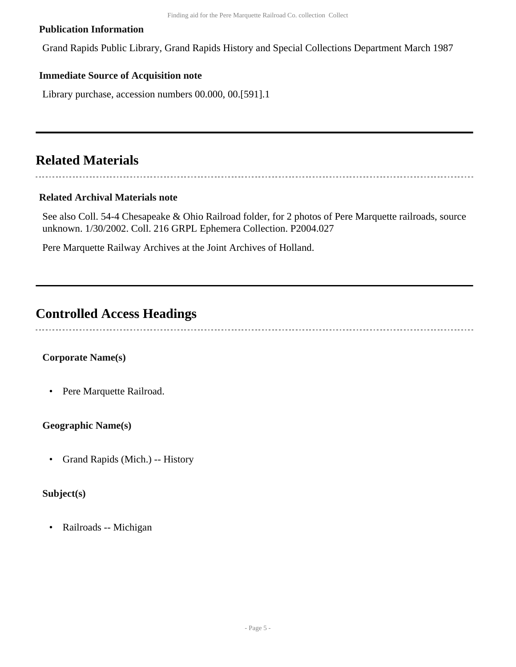## **Publication Information**

Grand Rapids Public Library, Grand Rapids History and Special Collections Department March 1987

# **Immediate Source of Acquisition note**

Library purchase, accession numbers 00.000, 00.[591].1

# <span id="page-4-0"></span>**Related Materials**

# 

# **Related Archival Materials note**

See also Coll. 54-4 Chesapeake & Ohio Railroad folder, for 2 photos of Pere Marquette railroads, source unknown. 1/30/2002. Coll. 216 GRPL Ephemera Collection. P2004.027

Pere Marquette Railway Archives at the Joint Archives of Holland.

# <span id="page-4-1"></span>**Controlled Access Headings**

# **Corporate Name(s)**

• Pere Marquette Railroad.

# **Geographic Name(s)**

• Grand Rapids (Mich.) -- History

# **Subject(s)**

• Railroads -- Michigan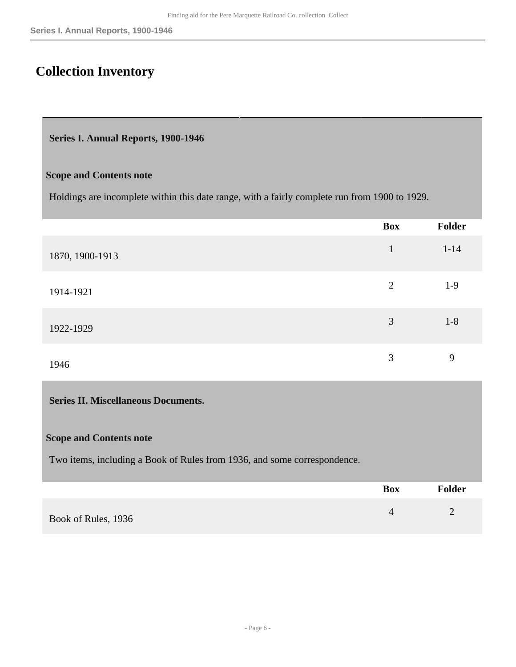# <span id="page-5-0"></span>**Collection Inventory**

#### <span id="page-5-1"></span>**Series I. Annual Reports, 1900-1946**

#### **Scope and Contents note**

Holdings are incomplete within this date range, with a fairly complete run from 1900 to 1929.

|                 | <b>Box</b>     | Folder   |
|-----------------|----------------|----------|
| 1870, 1900-1913 | $\mathbf{1}$   | $1 - 14$ |
| 1914-1921       | $\overline{2}$ | $1-9$    |
| 1922-1929       | 3              | $1 - 8$  |
| 1946            | 3              | 9        |

## <span id="page-5-2"></span>**Series II. Miscellaneous Documents.**

#### **Scope and Contents note**

Two items, including a Book of Rules from 1936, and some correspondence.

|                     | Box | <b>Folder</b> |
|---------------------|-----|---------------|
| Book of Rules, 1936 |     |               |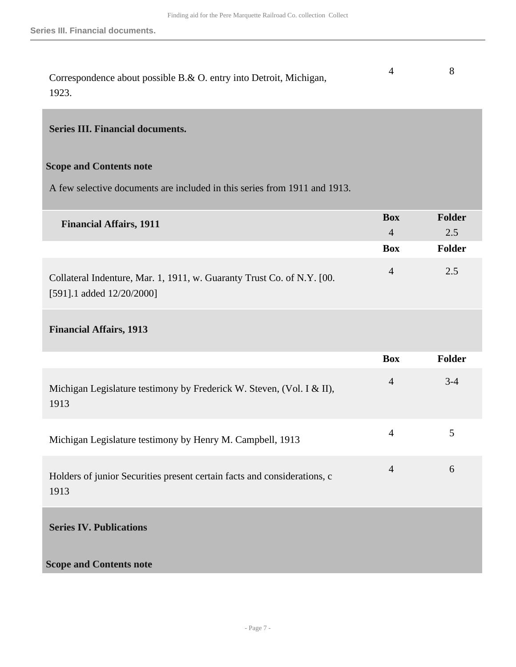| Correspondence about possible B.& O. entry into Detroit, Michigan, |  |
|--------------------------------------------------------------------|--|
| 1923.                                                              |  |

### <span id="page-6-0"></span>**Series III. Financial documents.**

## **Scope and Contents note**

A few selective documents are included in this series from 1911 and 1913.

| <b>Financial Affairs, 1911</b>                                         | <b>Box</b> | <b>Folder</b> |
|------------------------------------------------------------------------|------------|---------------|
|                                                                        |            | 2.5           |
|                                                                        | <b>Box</b> | <b>Folder</b> |
| Collateral Indenture, Mar. 1, 1911, w. Guaranty Trust Co. of N.Y. [00. | 4          | 2.5           |
| [591].1 added $12/20/2000$ ]                                           |            |               |

# **Financial Affairs, 1913**

<span id="page-6-1"></span>

|                                                                                  | <b>Box</b>     | <b>Folder</b> |
|----------------------------------------------------------------------------------|----------------|---------------|
| Michigan Legislature testimony by Frederick W. Steven, (Vol. I & II),<br>1913    | $\overline{4}$ | $3 - 4$       |
| Michigan Legislature testimony by Henry M. Campbell, 1913                        | $\overline{4}$ | 5             |
| Holders of junior Securities present certain facts and considerations, c<br>1913 | $\overline{4}$ | 6             |
| <b>Series IV. Publications</b>                                                   |                |               |
| <b>Scope and Contents note</b>                                                   |                |               |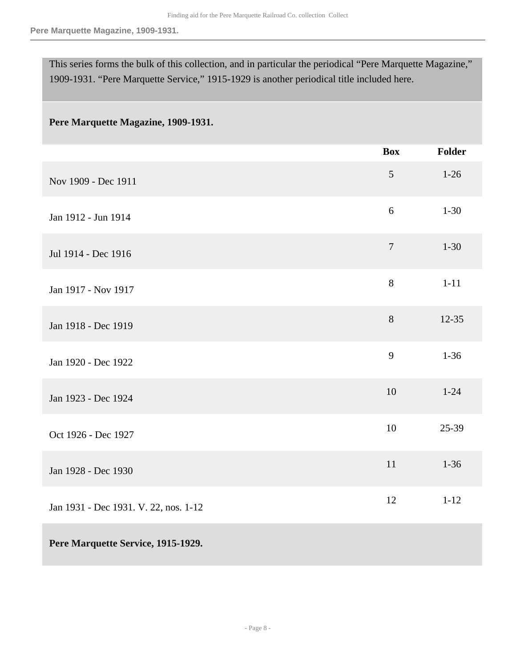This series forms the bulk of this collection, and in particular the periodical "Pere Marquette Magazine," 1909-1931. "Pere Marquette Service," 1915-1929 is another periodical title included here.

### **Pere Marquette Magazine, 1909-1931.**

|                                       | <b>Box</b>     | Folder    |
|---------------------------------------|----------------|-----------|
| Nov 1909 - Dec 1911                   | 5              | $1 - 26$  |
| Jan 1912 - Jun 1914                   | 6              | $1 - 30$  |
| Jul 1914 - Dec 1916                   | $\overline{7}$ | $1 - 30$  |
| Jan 1917 - Nov 1917                   | 8              | $1 - 11$  |
| Jan 1918 - Dec 1919                   | 8              | $12 - 35$ |
| Jan 1920 - Dec 1922                   | 9              | $1 - 36$  |
| Jan 1923 - Dec 1924                   | 10             | $1 - 24$  |
| Oct 1926 - Dec 1927                   | 10             | 25-39     |
| Jan 1928 - Dec 1930                   | 11             | $1 - 36$  |
| Jan 1931 - Dec 1931. V. 22, nos. 1-12 | 12             | $1 - 12$  |
| Pere Marquette Service, 1915-1929.    |                |           |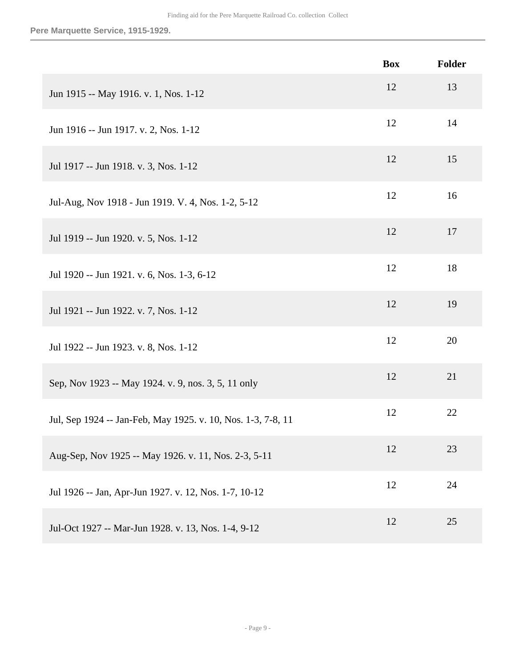|                                                              | <b>Box</b> | Folder |
|--------------------------------------------------------------|------------|--------|
| Jun 1915 -- May 1916. v. 1, Nos. 1-12                        | 12         | 13     |
| Jun 1916 -- Jun 1917. v. 2, Nos. 1-12                        | 12         | 14     |
| Jul 1917 -- Jun 1918. v. 3, Nos. 1-12                        | 12         | 15     |
| Jul-Aug, Nov 1918 - Jun 1919. V. 4, Nos. 1-2, 5-12           | 12         | 16     |
| Jul 1919 -- Jun 1920. v. 5, Nos. 1-12                        | 12         | 17     |
| Jul 1920 -- Jun 1921. v. 6, Nos. 1-3, 6-12                   | 12         | 18     |
| Jul 1921 -- Jun 1922. v. 7, Nos. 1-12                        | 12         | 19     |
| Jul 1922 -- Jun 1923. v. 8, Nos. 1-12                        | 12         | 20     |
| Sep, Nov 1923 -- May 1924. v. 9, nos. 3, 5, 11 only          | 12         | 21     |
| Jul, Sep 1924 -- Jan-Feb, May 1925. v. 10, Nos. 1-3, 7-8, 11 | 12         | 22     |
| Aug-Sep, Nov 1925 -- May 1926. v. 11, Nos. 2-3, 5-11         | 12         | 23     |
| Jul 1926 -- Jan, Apr-Jun 1927. v. 12, Nos. 1-7, 10-12        | 12         | 24     |
| Jul-Oct 1927 -- Mar-Jun 1928. v. 13, Nos. 1-4, 9-12          | 12         | 25     |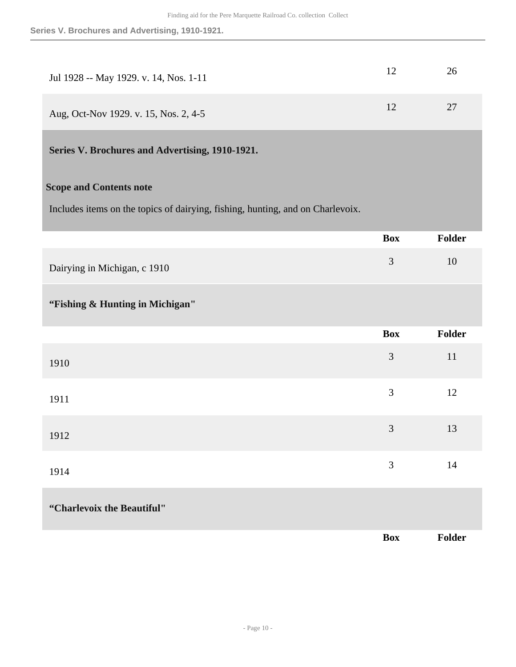| Jul 1928 -- May 1929. v. 14, Nos. 1-11 |    | 26 |
|----------------------------------------|----|----|
| Aug, Oct-Nov 1929. v. 15, Nos. 2, 4-5  | 12 | 27 |

# <span id="page-9-0"></span>**Series V. Brochures and Advertising, 1910-1921.**

## **Scope and Contents note**

Includes items on the topics of dairying, fishing, hunting, and on Charlevoix.

|                                 | <b>Box</b>     | Folder        |
|---------------------------------|----------------|---------------|
| Dairying in Michigan, c 1910    | $\mathfrak{Z}$ | 10            |
| "Fishing & Hunting in Michigan" |                |               |
|                                 | <b>Box</b>     | <b>Folder</b> |
| 1910                            | 3              | $11\,$        |
| 1911                            | 3              | 12            |
| 1912                            | 3              | 13            |
| 1914                            | 3              | 14            |
| "Charlevoix the Beautiful"      |                |               |
|                                 | <b>Box</b>     | Folder        |